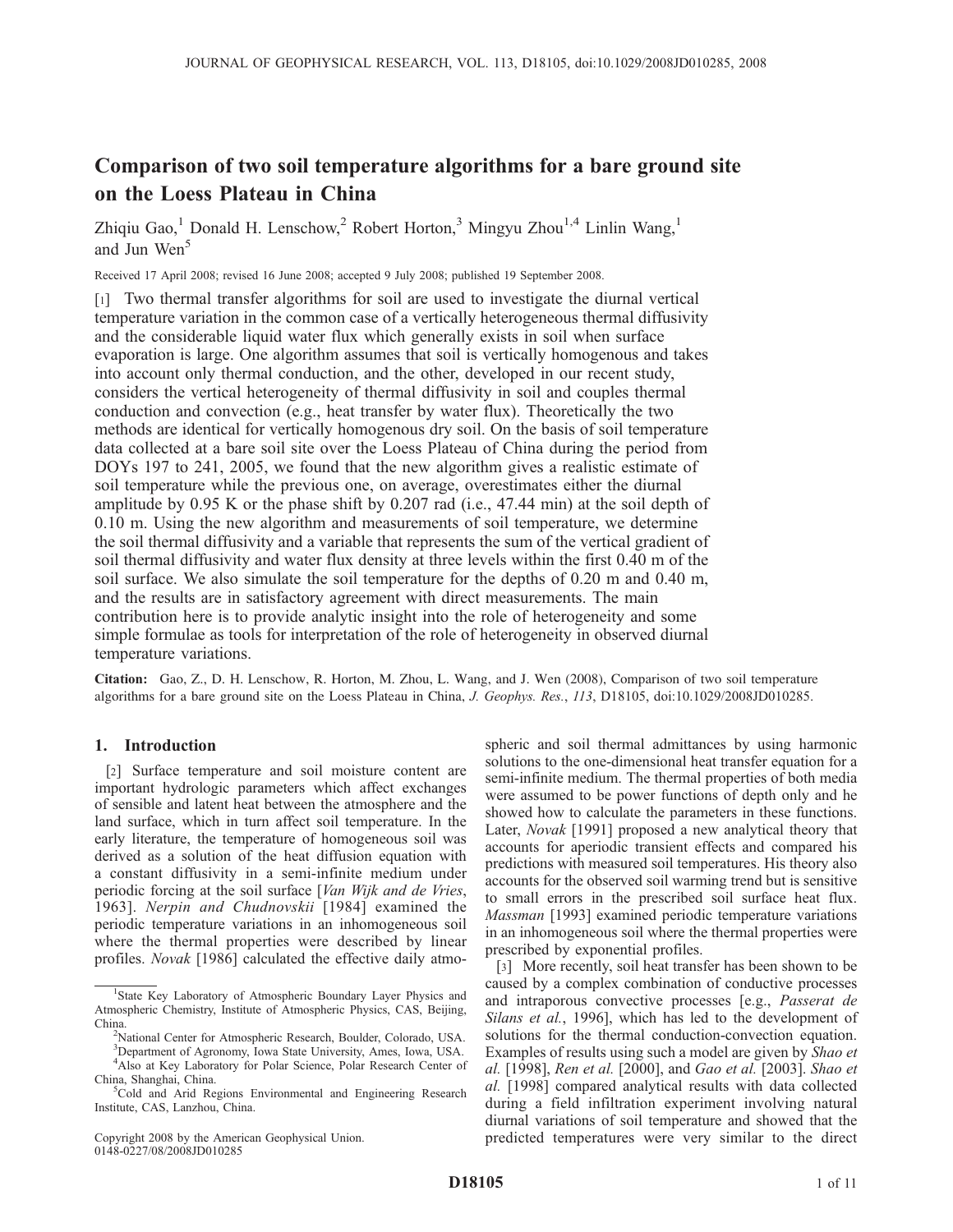# Comparison of two soil temperature algorithms for a bare ground site on the Loess Plateau in China

Zhiqiu Gao,<sup>1</sup> Donald H. Lenschow,<sup>2</sup> Robert Horton,<sup>3</sup> Mingyu Zhou<sup>1,4</sup> Linlin Wang,<sup>1</sup> and Jun Wen<sup>5</sup>

Received 17 April 2008; revised 16 June 2008; accepted 9 July 2008; published 19 September 2008.

[1] Two thermal transfer algorithms for soil are used to investigate the diurnal vertical temperature variation in the common case of a vertically heterogeneous thermal diffusivity and the considerable liquid water flux which generally exists in soil when surface evaporation is large. One algorithm assumes that soil is vertically homogenous and takes into account only thermal conduction, and the other, developed in our recent study, considers the vertical heterogeneity of thermal diffusivity in soil and couples thermal conduction and convection (e.g., heat transfer by water flux). Theoretically the two methods are identical for vertically homogenous dry soil. On the basis of soil temperature data collected at a bare soil site over the Loess Plateau of China during the period from DOYs 197 to 241, 2005, we found that the new algorithm gives a realistic estimate of soil temperature while the previous one, on average, overestimates either the diurnal amplitude by 0.95 K or the phase shift by 0.207 rad (i.e., 47.44 min) at the soil depth of 0.10 m. Using the new algorithm and measurements of soil temperature, we determine the soil thermal diffusivity and a variable that represents the sum of the vertical gradient of soil thermal diffusivity and water flux density at three levels within the first 0.40 m of the soil surface. We also simulate the soil temperature for the depths of 0.20 m and 0.40 m, and the results are in satisfactory agreement with direct measurements. The main contribution here is to provide analytic insight into the role of heterogeneity and some simple formulae as tools for interpretation of the role of heterogeneity in observed diurnal temperature variations.

Citation: Gao, Z., D. H. Lenschow, R. Horton, M. Zhou, L. Wang, and J. Wen (2008), Comparison of two soil temperature algorithms for a bare ground site on the Loess Plateau in China, J. Geophys. Res., 113, D18105, doi:10.1029/2008JD010285.

# 1. Introduction

[2] Surface temperature and soil moisture content are important hydrologic parameters which affect exchanges of sensible and latent heat between the atmosphere and the land surface, which in turn affect soil temperature. In the early literature, the temperature of homogeneous soil was derived as a solution of the heat diffusion equation with a constant diffusivity in a semi-infinite medium under periodic forcing at the soil surface [Van Wijk and de Vries, 1963]. Nerpin and Chudnovskii [1984] examined the periodic temperature variations in an inhomogeneous soil where the thermal properties were described by linear profiles. Novak [1986] calculated the effective daily atmo-

Copyright 2008 by the American Geophysical Union. 0148-0227/08/2008JD010285

spheric and soil thermal admittances by using harmonic solutions to the one-dimensional heat transfer equation for a semi-infinite medium. The thermal properties of both media were assumed to be power functions of depth only and he showed how to calculate the parameters in these functions. Later, Novak [1991] proposed a new analytical theory that accounts for aperiodic transient effects and compared his predictions with measured soil temperatures. His theory also accounts for the observed soil warming trend but is sensitive to small errors in the prescribed soil surface heat flux. Massman [1993] examined periodic temperature variations in an inhomogeneous soil where the thermal properties were prescribed by exponential profiles.

[3] More recently, soil heat transfer has been shown to be caused by a complex combination of conductive processes and intraporous convective processes [e.g., Passerat de Silans et al., 1996], which has led to the development of solutions for the thermal conduction-convection equation. Examples of results using such a model are given by Shao et al. [1998], Ren et al. [2000], and Gao et al. [2003]. Shao et al. [1998] compared analytical results with data collected during a field infiltration experiment involving natural diurnal variations of soil temperature and showed that the predicted temperatures were very similar to the direct

<sup>&</sup>lt;sup>1</sup>State Key Laboratory of Atmospheric Boundary Layer Physics and Atmospheric Chemistry, Institute of Atmospheric Physics, CAS, Beijing, China<sup>1</sup>

<sup>&</sup>lt;sup>2</sup>National Center for Atmospheric Research, Boulder, Colorado, USA.

<sup>3</sup> Department of Agronomy, Iowa State University, Ames, Iowa, USA. 4 Also at Key Laboratory for Polar Science, Polar Research Center of China, Shanghai, China. <sup>5</sup>

 ${}^{5}$ Cold and Arid Regions Environmental and Engineering Research Institute, CAS, Lanzhou, China.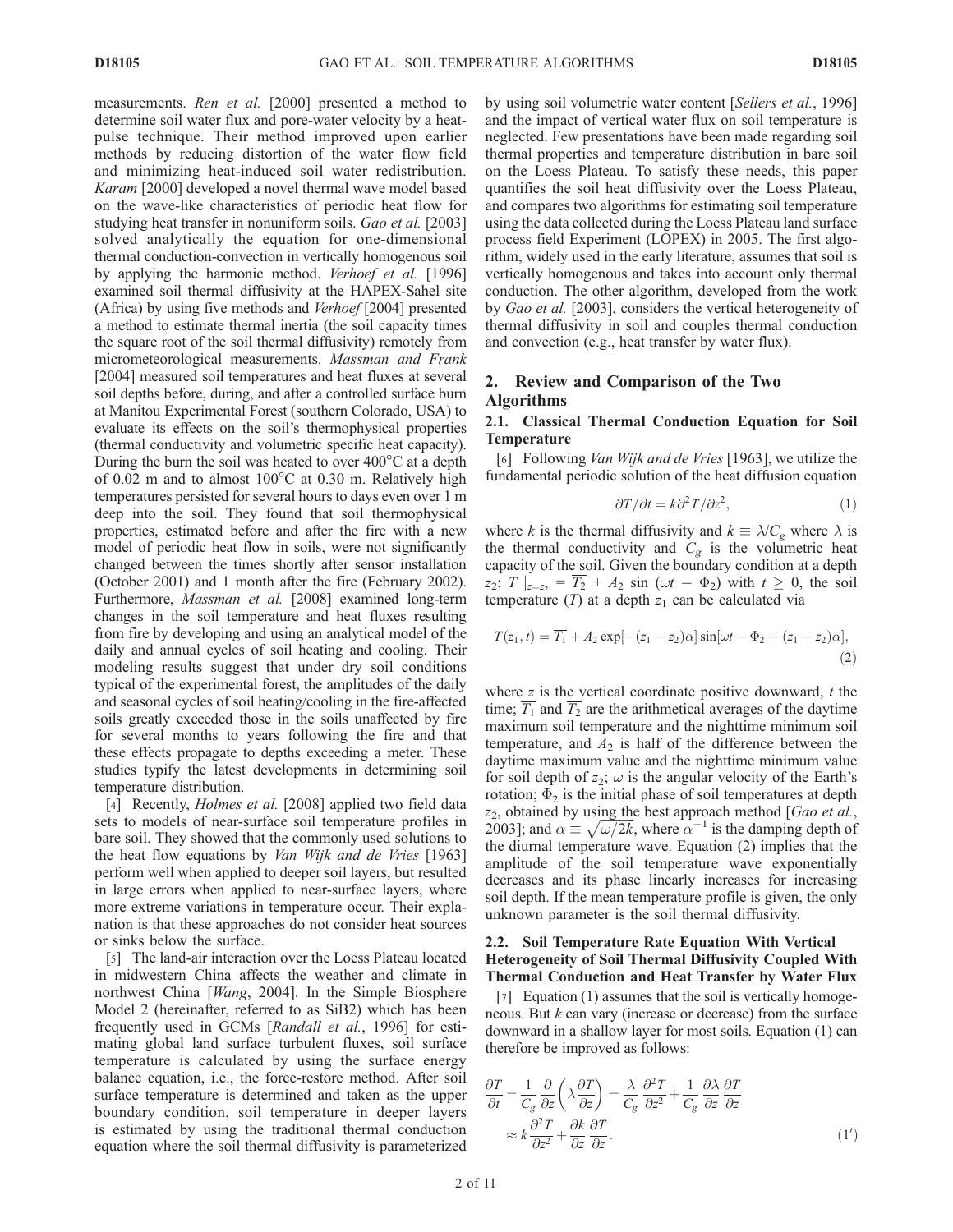measurements. Ren et al. [2000] presented a method to determine soil water flux and pore-water velocity by a heatpulse technique. Their method improved upon earlier methods by reducing distortion of the water flow field and minimizing heat-induced soil water redistribution. Karam [2000] developed a novel thermal wave model based on the wave-like characteristics of periodic heat flow for studying heat transfer in nonuniform soils. Gao et al. [2003] solved analytically the equation for one-dimensional thermal conduction-convection in vertically homogenous soil by applying the harmonic method. Verhoef et al. [1996] examined soil thermal diffusivity at the HAPEX-Sahel site (Africa) by using five methods and Verhoef [2004] presented a method to estimate thermal inertia (the soil capacity times the square root of the soil thermal diffusivity) remotely from micrometeorological measurements. Massman and Frank [2004] measured soil temperatures and heat fluxes at several soil depths before, during, and after a controlled surface burn at Manitou Experimental Forest (southern Colorado, USA) to evaluate its effects on the soil's thermophysical properties (thermal conductivity and volumetric specific heat capacity). During the burn the soil was heated to over  $400^{\circ}$ C at a depth of 0.02 m and to almost  $100^{\circ}$ C at 0.30 m. Relatively high temperatures persisted for several hours to days even over 1 m deep into the soil. They found that soil thermophysical properties, estimated before and after the fire with a new model of periodic heat flow in soils, were not significantly changed between the times shortly after sensor installation (October 2001) and 1 month after the fire (February 2002). Furthermore, Massman et al. [2008] examined long-term changes in the soil temperature and heat fluxes resulting from fire by developing and using an analytical model of the daily and annual cycles of soil heating and cooling. Their modeling results suggest that under dry soil conditions typical of the experimental forest, the amplitudes of the daily and seasonal cycles of soil heating/cooling in the fire-affected soils greatly exceeded those in the soils unaffected by fire for several months to years following the fire and that these effects propagate to depths exceeding a meter. These studies typify the latest developments in determining soil temperature distribution.

[4] Recently, *Holmes et al.* [2008] applied two field data sets to models of near-surface soil temperature profiles in bare soil. They showed that the commonly used solutions to the heat flow equations by *Van Wijk and de Vries* [1963] perform well when applied to deeper soil layers, but resulted in large errors when applied to near-surface layers, where more extreme variations in temperature occur. Their explanation is that these approaches do not consider heat sources or sinks below the surface.

[5] The land-air interaction over the Loess Plateau located in midwestern China affects the weather and climate in northwest China [Wang, 2004]. In the Simple Biosphere Model 2 (hereinafter, referred to as SiB2) which has been frequently used in GCMs [Randall et al., 1996] for estimating global land surface turbulent fluxes, soil surface temperature is calculated by using the surface energy balance equation, i.e., the force-restore method. After soil surface temperature is determined and taken as the upper boundary condition, soil temperature in deeper layers is estimated by using the traditional thermal conduction equation where the soil thermal diffusivity is parameterized by using soil volumetric water content [Sellers et al., 1996] and the impact of vertical water flux on soil temperature is neglected. Few presentations have been made regarding soil thermal properties and temperature distribution in bare soil on the Loess Plateau. To satisfy these needs, this paper quantifies the soil heat diffusivity over the Loess Plateau, and compares two algorithms for estimating soil temperature using the data collected during the Loess Plateau land surface process field Experiment (LOPEX) in 2005. The first algorithm, widely used in the early literature, assumes that soil is vertically homogenous and takes into account only thermal conduction. The other algorithm, developed from the work by *Gao et al.* [2003], considers the vertical heterogeneity of thermal diffusivity in soil and couples thermal conduction and convection (e.g., heat transfer by water flux).

# 2. Review and Comparison of the Two Algorithms

# 2.1. Classical Thermal Conduction Equation for Soil **Temperature**

[6] Following *Van Wijk and de Vries* [1963], we utilize the fundamental periodic solution of the heat diffusion equation

$$
\frac{\partial T}{\partial t} = k \frac{\partial^2 T}{\partial z^2},\tag{1}
$$

where k is the thermal diffusivity and  $k \equiv \lambda/C_g$  where  $\lambda$  is the thermal conductivity and  $C_g$  is the volumetric heat capacity of the soil. Given the boundary condition at a depth  $z_2$ :  $T \mid_{z=z_2} = \overline{T_2} + A_2 \sin (\omega t - \Phi_2)$  with  $t \geq 0$ , the soil temperature (T) at a depth  $z_1$  can be calculated via

$$
T(z_1,t) = \overline{T_1} + A_2 \exp[-(z_1 - z_2)\alpha] \sin[\omega t - \Phi_2 - (z_1 - z_2)\alpha],
$$
\n(2)

where  $z$  is the vertical coordinate positive downward,  $t$  the time;  $T_1$  and  $T_2$  are the arithmetical averages of the daytime maximum soil temperature and the nighttime minimum soil temperature, and  $A_2$  is half of the difference between the daytime maximum value and the nighttime minimum value for soil depth of  $z_2$ ;  $\omega$  is the angular velocity of the Earth's rotation;  $\Phi_2$  is the initial phase of soil temperatures at depth  $z_2$ , obtained by using the best approach method [Gao et al., 22, obtained by using the best approach inethod [O*do et di.*, 2003]; and  $\alpha \equiv \sqrt{\omega/2k}$ , where  $\alpha^{-1}$  is the damping depth of the diurnal temperature wave. Equation (2) implies that the amplitude of the soil temperature wave exponentially decreases and its phase linearly increases for increasing soil depth. If the mean temperature profile is given, the only unknown parameter is the soil thermal diffusivity.

#### 2.2. Soil Temperature Rate Equation With Vertical Heterogeneity of Soil Thermal Diffusivity Coupled With Thermal Conduction and Heat Transfer by Water Flux

[7] Equation (1) assumes that the soil is vertically homogeneous. But  $k$  can vary (increase or decrease) from the surface downward in a shallow layer for most soils. Equation (1) can therefore be improved as follows:

$$
\frac{\partial T}{\partial t} = \frac{1}{C_g} \frac{\partial}{\partial z} \left( \lambda \frac{\partial T}{\partial z} \right) = \frac{\lambda}{C_g} \frac{\partial^2 T}{\partial z^2} + \frac{1}{C_g} \frac{\partial \lambda}{\partial z} \frac{\partial T}{\partial z}
$$

$$
\approx k \frac{\partial^2 T}{\partial z^2} + \frac{\partial k}{\partial z} \frac{\partial T}{\partial z}.
$$
(1')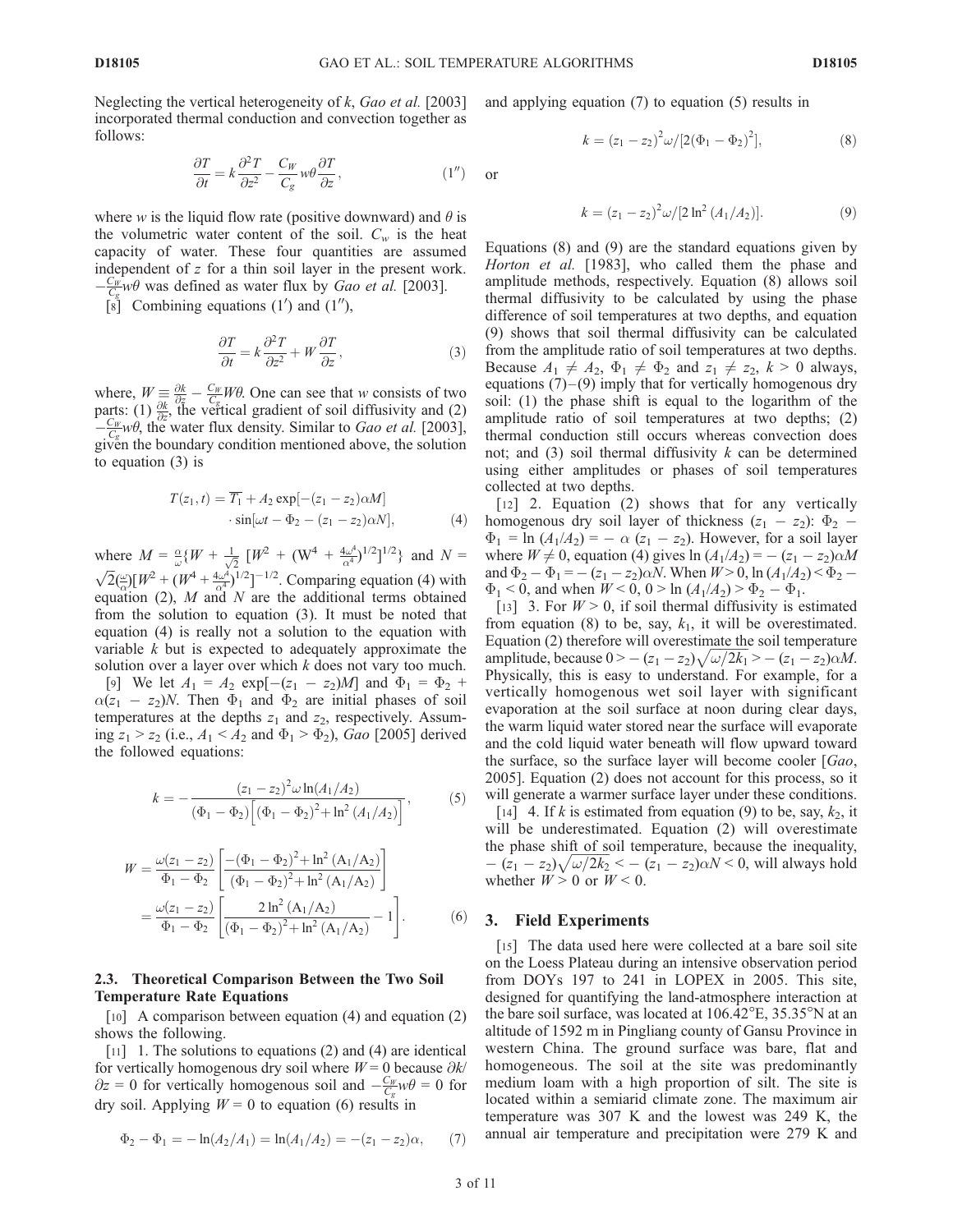or

Neglecting the vertical heterogeneity of  $k$ , Gao et al. [2003] incorporated thermal conduction and convection together as follows:

$$
\frac{\partial T}{\partial t} = k \frac{\partial^2 T}{\partial z^2} - \frac{C_W}{C_g} w \theta \frac{\partial T}{\partial z},\tag{1''}
$$

where w is the liquid flow rate (positive downward) and  $\theta$  is the volumetric water content of the soil.  $C_w$  is the heat capacity of water. These four quantities are assumed independent of z for a thin soil layer in the present work.  $-\frac{C_W}{C_g}w\theta$  was defined as water flux by *Gao et al.* [2003].

 $\begin{bmatrix} 8 \end{bmatrix}$  Combining equations (1') and (1''),

$$
\frac{\partial T}{\partial t} = k \frac{\partial^2 T}{\partial z^2} + W \frac{\partial T}{\partial z},\tag{3}
$$

where,  $W = \frac{\partial k}{\partial z} - \frac{C_W}{C_g} W \theta$ . One can see that w consists of two parts: (1)  $\frac{\partial k}{\partial z}$ , the vertical gradient of soil diffusivity and (2)  $-\frac{C_W}{C_g}$  w $\theta$ , the water flux density. Similar to *Gao et al.* [2003], given the boundary condition mentioned above, the solution to equation (3) is

$$
T(z_1, t) = \overline{T_1} + A_2 \exp[-(z_1 - z_2)\alpha M]
$$

$$
\cdot \sin[\omega t - \Phi_2 - (z_1 - z_2)\alpha N], \tag{4}
$$

where  $M = \frac{\alpha}{\omega} \{ W + \frac{1}{\sqrt{2}} \left[ W^2 + (W^4 + \frac{4\omega^4}{\alpha^4})^{1/2} \right]^{1/2} \}$  and  $N = \sqrt{2} (\frac{\omega}{\alpha}) [W^2 + (W^4 + \frac{4\omega^4}{\alpha^4})^{1/2}]^{-1/2}$ . Comparing equation (4) with equation (2),  $M$  and  $N$  are the additional terms obtained from the solution to equation (3). It must be noted that equation (4) is really not a solution to the equation with variable  $k$  but is expected to adequately approximate the solution over a layer over which  $k$  does not vary too much.

[9] We let  $A_1 = A_2 \exp[-(z_1 - z_2)M]$  and  $\Phi_1 = \Phi_2 +$  $\alpha(z_1 - z_2)N$ . Then  $\Phi_1$  and  $\Phi_2$  are initial phases of soil temperatures at the depths  $z_1$  and  $z_2$ , respectively. Assuming  $z_1 > z_2$  (i.e.,  $A_1 < A_2$  and  $\Phi_1 > \Phi_2$ ), *Gao* [2005] derived the followed equations:

$$
k = -\frac{(z_1 - z_2)^2 \omega \ln(A_1/A_2)}{(\Phi_1 - \Phi_2) \left[ (\Phi_1 - \Phi_2)^2 + \ln^2(A_1/A_2) \right]},
$$
 (5)

$$
W = \frac{\omega(z_1 - z_2)}{\Phi_1 - \Phi_2} \left[ \frac{- (\Phi_1 - \Phi_2)^2 + \ln^2 (A_1/A_2)}{(\Phi_1 - \Phi_2)^2 + \ln^2 (A_1/A_2)} \right]
$$
  
= 
$$
\frac{\omega(z_1 - z_2)}{\Phi_1 - \Phi_2} \left[ \frac{2 \ln^2 (A_1/A_2)}{(\Phi_1 - \Phi_2)^2 + \ln^2 (A_1/A_2)} - 1 \right].
$$
 (6)

#### 2.3. Theoretical Comparison Between the Two Soil Temperature Rate Equations

[10] A comparison between equation (4) and equation (2) shows the following.

[11] 1. The solutions to equations (2) and (4) are identical for vertically homogenous dry soil where  $W = 0$  because  $\partial k$ /  $\partial z = 0$  for vertically homogenous soil and  $-\frac{C_W}{C_g}w\theta = 0$  for dry soil. Applying  $W = 0$  to equation (6) results in

$$
\Phi_2 - \Phi_1 = -\ln(A_2/A_1) = \ln(A_1/A_2) = -(z_1 - z_2)\alpha, \qquad (7)
$$

and applying equation (7) to equation (5) results in

$$
k = (z_1 - z_2)^2 \omega / [2(\Phi_1 - \Phi_2)^2], \tag{8}
$$

$$
f_{\rm{max}}
$$

$$
k = (z_1 - z_2)^2 \omega / [2 \ln^2 (A_1/A_2)].
$$
 (9)

Equations (8) and (9) are the standard equations given by Horton et al. [1983], who called them the phase and amplitude methods, respectively. Equation (8) allows soil thermal diffusivity to be calculated by using the phase difference of soil temperatures at two depths, and equation (9) shows that soil thermal diffusivity can be calculated from the amplitude ratio of soil temperatures at two depths. Because  $A_1 \neq A_2$ ,  $\Phi_1 \neq \Phi_2$  and  $z_1 \neq z_2$ ,  $k > 0$  always, equations  $(7)$  –  $(9)$  imply that for vertically homogenous dry soil: (1) the phase shift is equal to the logarithm of the amplitude ratio of soil temperatures at two depths; (2) thermal conduction still occurs whereas convection does not; and  $(3)$  soil thermal diffusivity  $k$  can be determined using either amplitudes or phases of soil temperatures collected at two depths.

[12] 2. Equation (2) shows that for any vertically homogenous dry soil layer of thickness  $(z_1 - z_2)$ :  $\Phi_2$  –  $\Phi_1 = \ln (A_1/A_2) = -\alpha (z_1 - z_2)$ . However, for a soil layer where  $W \neq 0$ , equation (4) gives  $\ln (A_1/A_2) = -(z_1 - z_2)\alpha M$ and  $\Phi_2 - \Phi_1 = -(z_1 - z_2)\alpha N$ . When  $W > 0$ , ln  $(A_1/A_2) < \Phi_2$  –  $\Phi_1 < 0$ , and when  $W < 0$ ,  $0 > \ln (A_1/A_2) > \Phi_2 - \Phi_1$ .

[13] 3. For  $W > 0$ , if soil thermal diffusivity is estimated from equation (8) to be, say,  $k_1$ , it will be overestimated. Equation (2) therefore will overestimate the soil temperature Equation (2) increase  $0 > -(z_1 - z_2)\sqrt{\omega/2k_1} > -(z_1 - z_2)\alpha M$ . Physically, this is easy to understand. For example, for a vertically homogenous wet soil layer with significant evaporation at the soil surface at noon during clear days, the warm liquid water stored near the surface will evaporate and the cold liquid water beneath will flow upward toward the surface, so the surface layer will become cooler [Gao, 2005]. Equation (2) does not account for this process, so it will generate a warmer surface layer under these conditions.

[14] 4. If k is estimated from equation (9) to be, say,  $k_2$ , it will be underestimated. Equation (2) will overestimate the phase shift of soil temperature, because the inequality, the phase shift of solid emperature, because the mequanty,<br> $-(z_1 - z_2)\sqrt{\omega/2k_2} < -(z_1 - z_2)\alpha N < 0$ , will always hold whether  $W > 0$  or  $W < 0$ .

#### 3. Field Experiments

[15] The data used here were collected at a bare soil site on the Loess Plateau during an intensive observation period from DOYs 197 to 241 in LOPEX in 2005. This site, designed for quantifying the land-atmosphere interaction at the bare soil surface, was located at  $106.42^{\circ}E$ ,  $35.35^{\circ}N$  at an altitude of 1592 m in Pingliang county of Gansu Province in western China. The ground surface was bare, flat and homogeneous. The soil at the site was predominantly medium loam with a high proportion of silt. The site is located within a semiarid climate zone. The maximum air temperature was 307 K and the lowest was 249 K, the annual air temperature and precipitation were 279 K and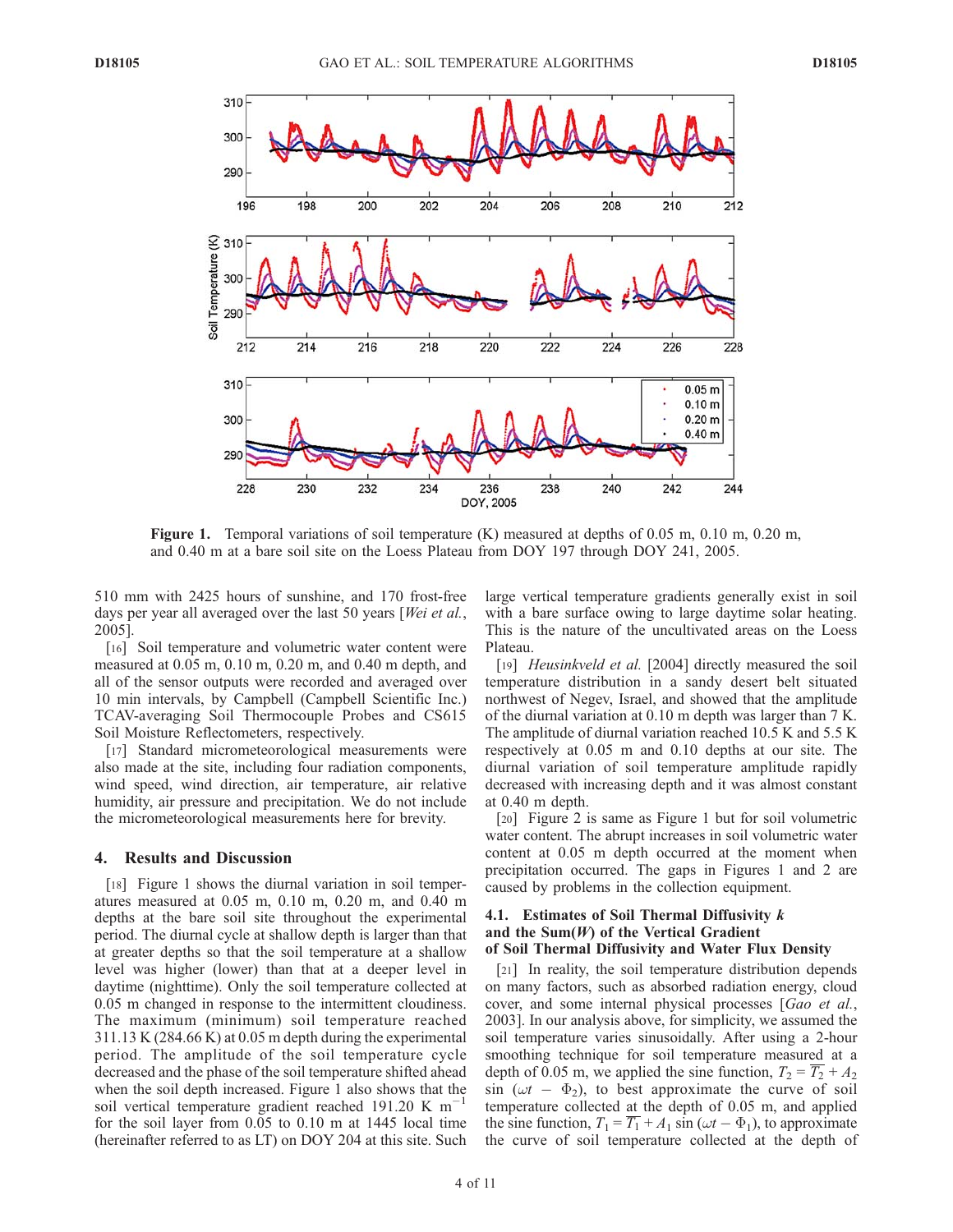

Figure 1. Temporal variations of soil temperature (K) measured at depths of 0.05 m, 0.10 m, 0.20 m, and 0.40 m at a bare soil site on the Loess Plateau from DOY 197 through DOY 241, 2005.

510 mm with 2425 hours of sunshine, and 170 frost-free days per year all averaged over the last 50 years [Wei et al., 2005].

[16] Soil temperature and volumetric water content were measured at 0.05 m, 0.10 m, 0.20 m, and 0.40 m depth, and all of the sensor outputs were recorded and averaged over 10 min intervals, by Campbell (Campbell Scientific Inc.) TCAV-averaging Soil Thermocouple Probes and CS615 Soil Moisture Reflectometers, respectively.

[17] Standard micrometeorological measurements were also made at the site, including four radiation components, wind speed, wind direction, air temperature, air relative humidity, air pressure and precipitation. We do not include the micrometeorological measurements here for brevity.

#### 4. Results and Discussion

[18] Figure 1 shows the diurnal variation in soil temperatures measured at 0.05 m, 0.10 m, 0.20 m, and 0.40 m depths at the bare soil site throughout the experimental period. The diurnal cycle at shallow depth is larger than that at greater depths so that the soil temperature at a shallow level was higher (lower) than that at a deeper level in daytime (nighttime). Only the soil temperature collected at 0.05 m changed in response to the intermittent cloudiness. The maximum (minimum) soil temperature reached 311.13 K (284.66 K) at 0.05 m depth during the experimental period. The amplitude of the soil temperature cycle decreased and the phase of the soil temperature shifted ahead when the soil depth increased. Figure 1 also shows that the soil vertical temperature gradient reached 191.20 K  $m^{-1}$ for the soil layer from 0.05 to 0.10 m at 1445 local time (hereinafter referred to as LT) on DOY 204 at this site. Such large vertical temperature gradients generally exist in soil with a bare surface owing to large daytime solar heating. This is the nature of the uncultivated areas on the Loess Plateau.

[19] *Heusinkveld et al.* [2004] directly measured the soil temperature distribution in a sandy desert belt situated northwest of Negev, Israel, and showed that the amplitude of the diurnal variation at 0.10 m depth was larger than 7 K. The amplitude of diurnal variation reached 10.5 K and 5.5 K respectively at 0.05 m and 0.10 depths at our site. The diurnal variation of soil temperature amplitude rapidly decreased with increasing depth and it was almost constant at 0.40 m depth.

[20] Figure 2 is same as Figure 1 but for soil volumetric water content. The abrupt increases in soil volumetric water content at 0.05 m depth occurred at the moment when precipitation occurred. The gaps in Figures 1 and 2 are caused by problems in the collection equipment.

# 4.1. Estimates of Soil Thermal Diffusivity  $k$ and the Sum $(W)$  of the Vertical Gradient of Soil Thermal Diffusivity and Water Flux Density

[21] In reality, the soil temperature distribution depends on many factors, such as absorbed radiation energy, cloud cover, and some internal physical processes [Gao et al., 2003]. In our analysis above, for simplicity, we assumed the soil temperature varies sinusoidally. After using a 2-hour smoothing technique for soil temperature measured at a depth of 0.05 m, we applied the sine function,  $T_2 = T_2 + A_2$  $\sin (\omega t - \Phi_2)$ , to best approximate the curve of soil temperature collected at the depth of 0.05 m, and applied the sine function,  $T_1 = \overline{T_1} + A_1 \sin(\omega t - \Phi_1)$ , to approximate the curve of soil temperature collected at the depth of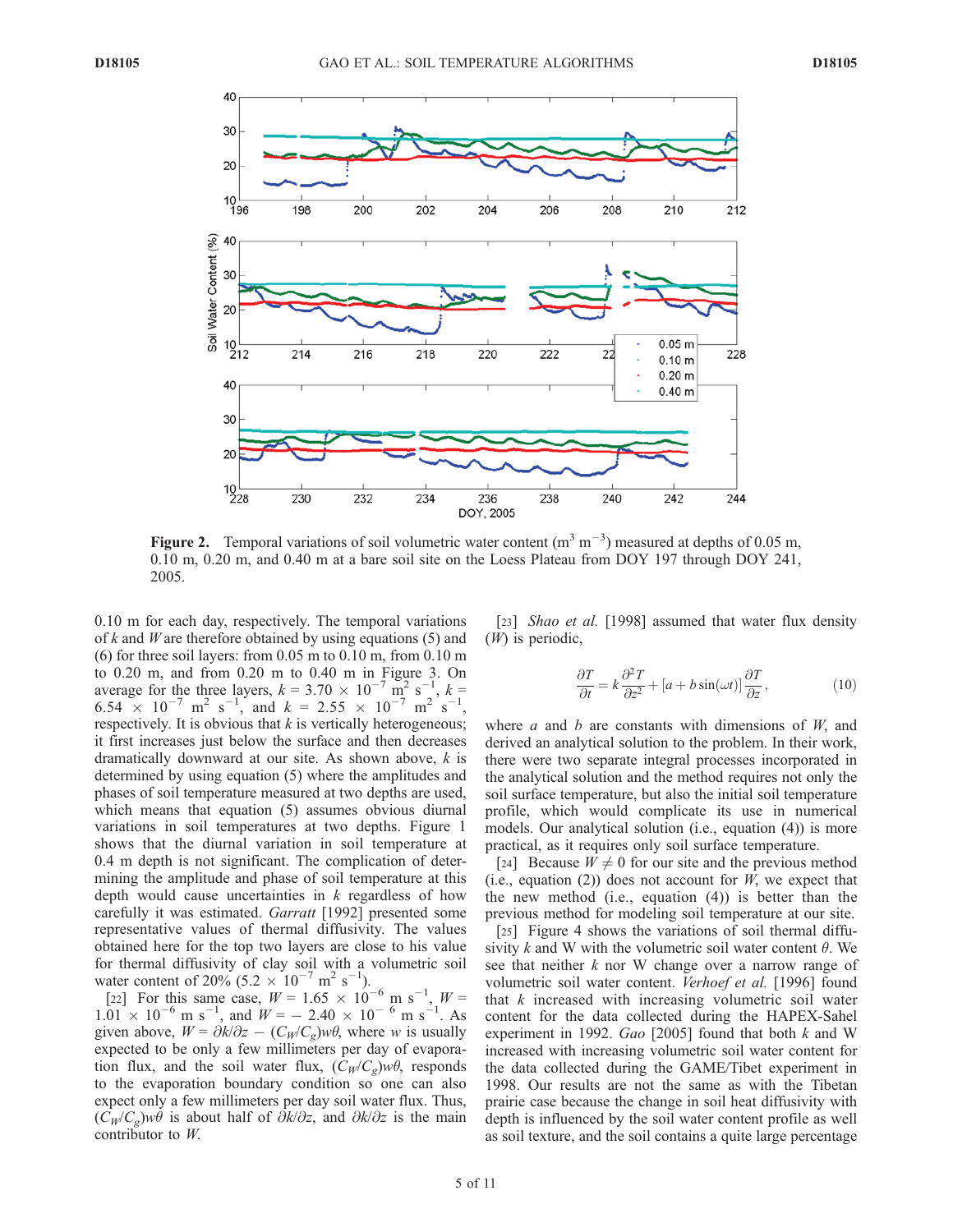

Figure 2. Temporal variations of soil volumetric water content  $(m^3 m^{-3})$  measured at depths of 0.05 m, 0.10 m, 0.20 m, and 0.40 m at a bare soil site on the Loess Plateau from DOY 197 through DOY 241, 2005.

0.10 m for each day, respectively. The temporal variations of k and W are therefore obtained by using equations  $(5)$  and (6) for three soil layers: from 0.05 m to 0.10 m, from 0.10 m to 0.20 m, and from 0.20 m to 0.40 m in Figure 3. On average for the three layers,  $k = 3.70 \times 10^{-7} \text{ m}^2 \text{ s}^{-1}$  $, k =$ 6.54  $\times$  10<sup>-7</sup> m<sup>2</sup> s<sup>-1</sup>, and k = 2.55  $\times$  10<sup>-7</sup> m<sup>2</sup> s<sup>-1</sup>, respectively. It is obvious that  $k$  is vertically heterogeneous; it first increases just below the surface and then decreases dramatically downward at our site. As shown above,  $k$  is determined by using equation (5) where the amplitudes and phases of soil temperature measured at two depths are used, which means that equation (5) assumes obvious diurnal variations in soil temperatures at two depths. Figure 1 shows that the diurnal variation in soil temperature at 0.4 m depth is not significant. The complication of determining the amplitude and phase of soil temperature at this depth would cause uncertainties in  $k$  regardless of how carefully it was estimated. Garratt [1992] presented some representative values of thermal diffusivity. The values obtained here for the top two layers are close to his value for thermal diffusivity of clay soil with a volumetric soil water content of 20% (5.2  $\times 10^{-7}$  m<sup>2</sup> s<sup>-1</sup>).

[22] For this same case,  $W = 1.65 \times 10^{-6}$  m s<sup>-1</sup>,  $W =$  $1.01 \times 10^{-6}$  m s<sup>-1</sup>, and  $W = -2.40 \times 10^{-6}$  m s<sup>-1</sup>. As given above,  $W = \partial k / \partial z - (C_W / C_g) w \theta$ , where w is usually expected to be only a few millimeters per day of evaporation flux, and the soil water flux,  $(C_W/C_g)w\theta$ , responds to the evaporation boundary condition so one can also expect only a few millimeters per day soil water flux. Thus,  $(C_W/C_g)w\theta$  is about half of  $\partial k/\partial z$ , and  $\partial k/\partial z$  is the main contributor to W.

[23] Shao et al. [1998] assumed that water flux density (W) is periodic,

$$
\frac{\partial T}{\partial t} = k \frac{\partial^2 T}{\partial z^2} + [a + b \sin(\omega t)] \frac{\partial T}{\partial z},\tag{10}
$$

where  $a$  and  $b$  are constants with dimensions of  $W$ , and derived an analytical solution to the problem. In their work, there were two separate integral processes incorporated in the analytical solution and the method requires not only the soil surface temperature, but also the initial soil temperature profile, which would complicate its use in numerical models. Our analytical solution (i.e., equation (4)) is more practical, as it requires only soil surface temperature.

[24] Because  $W \neq 0$  for our site and the previous method (i.e., equation (2)) does not account for  $W$ , we expect that the new method (i.e., equation (4)) is better than the previous method for modeling soil temperature at our site.

[25] Figure 4 shows the variations of soil thermal diffusivity k and W with the volumetric soil water content  $\theta$ . We see that neither  $k$  nor W change over a narrow range of volumetric soil water content. Verhoef et al. [1996] found that  $k$  increased with increasing volumetric soil water content for the data collected during the HAPEX-Sahel experiment in 1992. Gao [2005] found that both  $k$  and W increased with increasing volumetric soil water content for the data collected during the GAME/Tibet experiment in 1998. Our results are not the same as with the Tibetan prairie case because the change in soil heat diffusivity with depth is influenced by the soil water content profile as well as soil texture, and the soil contains a quite large percentage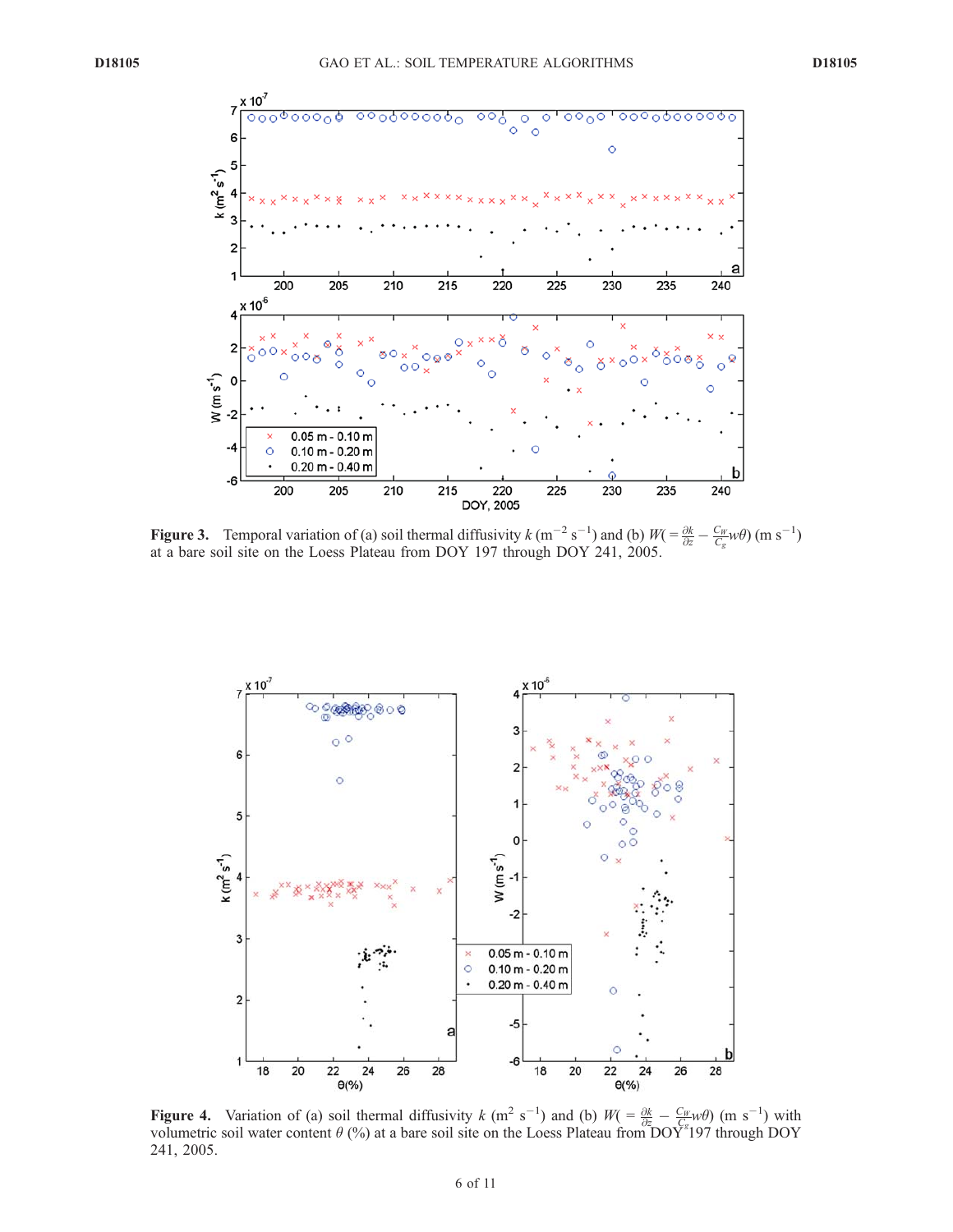

**Figure 3.** Temporal variation of (a) soil thermal diffusivity  $k(m^{-2} s^{-1})$  and (b)  $W = \frac{\partial k}{\partial z} - \frac{C_W}{C_g} w \theta$  (m s<sup>-1</sup>) at a bare soil site on the Loess Plateau from DOY 197 through DOY 241, 2005.



**Figure 4.** Variation of (a) soil thermal diffusivity k (m<sup>2</sup> s<sup>-1</sup>) and (b)  $W = \frac{\partial k}{\partial z} - \frac{C_W}{C} \psi(\theta)$  (m s<sup>-1</sup>) with volumetric soil water content  $\theta$  (%) at a bare soil site on the Loess Plateau from DOY<sup>\*</sup>197 through DOY 241, 2005.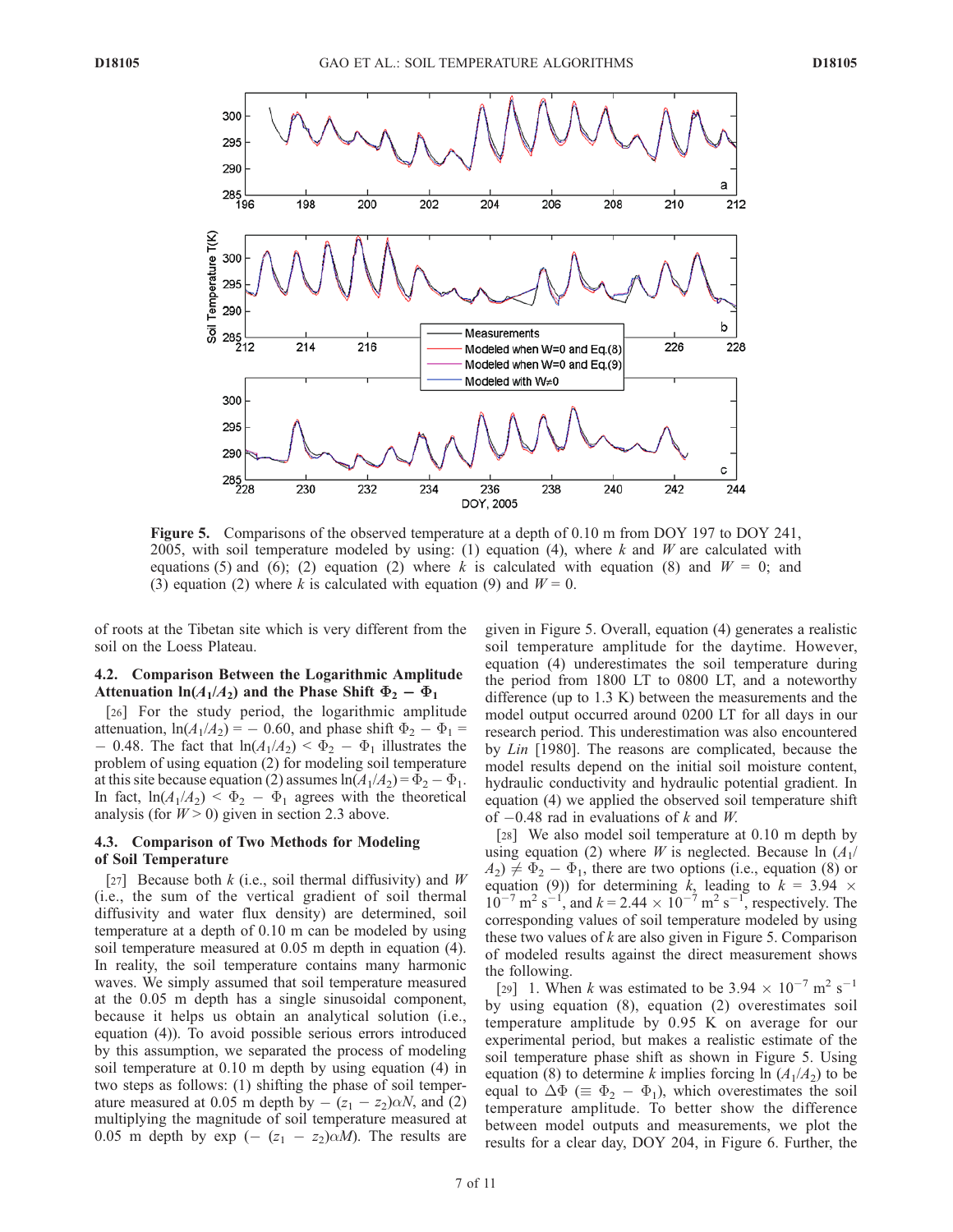

Figure 5. Comparisons of the observed temperature at a depth of 0.10 m from DOY 197 to DOY 241, 2005, with soil temperature modeled by using: (1) equation (4), where k and W are calculated with equations (5) and (6); (2) equation (2) where k is calculated with equation (8) and  $W = 0$ ; and (3) equation (2) where k is calculated with equation (9) and  $W = 0$ .

of roots at the Tibetan site which is very different from the soil on the Loess Plateau.

# 4.2. Comparison Between the Logarithmic Amplitude Attenuation  $ln(A_1/A_2)$  and the Phase Shift  $\Phi_2 - \Phi_1$

[26] For the study period, the logarithmic amplitude attenuation,  $ln(A_1/A_2) = -0.60$ , and phase shift  $\Phi_2 - \Phi_1 =$  $-0.48$ . The fact that  $ln(A_1/A_2) < \Phi_2 - \Phi_1$  illustrates the problem of using equation (2) for modeling soil temperature at this site because equation (2) assumes  $ln(A_1/A_2) = \Phi_2 - \Phi_1$ . In fact,  $ln(A_1/A_2) < \Phi_2 - \Phi_1$  agrees with the theoretical analysis (for  $W > 0$ ) given in section 2.3 above.

#### 4.3. Comparison of Two Methods for Modeling of Soil Temperature

[27] Because both  $k$  (i.e., soil thermal diffusivity) and  $W$ (i.e., the sum of the vertical gradient of soil thermal diffusivity and water flux density) are determined, soil temperature at a depth of 0.10 m can be modeled by using soil temperature measured at 0.05 m depth in equation (4). In reality, the soil temperature contains many harmonic waves. We simply assumed that soil temperature measured at the 0.05 m depth has a single sinusoidal component, because it helps us obtain an analytical solution (i.e., equation (4)). To avoid possible serious errors introduced by this assumption, we separated the process of modeling soil temperature at 0.10 m depth by using equation (4) in two steps as follows: (1) shifting the phase of soil temperature measured at 0.05 m depth by  $-(z_1 - z_2)\alpha N$ , and (2) multiplying the magnitude of soil temperature measured at 0.05 m depth by exp (-  $(z_1 - z_2)\alpha M$ ). The results are given in Figure 5. Overall, equation (4) generates a realistic soil temperature amplitude for the daytime. However, equation (4) underestimates the soil temperature during the period from 1800 LT to 0800 LT, and a noteworthy difference (up to 1.3 K) between the measurements and the model output occurred around 0200 LT for all days in our research period. This underestimation was also encountered by Lin [1980]. The reasons are complicated, because the model results depend on the initial soil moisture content, hydraulic conductivity and hydraulic potential gradient. In equation (4) we applied the observed soil temperature shift of  $-0.48$  rad in evaluations of k and W.

[28] We also model soil temperature at 0.10 m depth by using equation (2) where *W* is neglected. Because  $\ln (A_1/A_2)$  $A_2$ )  $\neq \Phi_2 - \Phi_1$ , there are two options (i.e., equation (8) or equation (9)) for determining k, leading to  $k = 3.94 \times$  $10^{-7}$  m<sup>2</sup> s<sup>-1</sup>, and k = 2.44  $\times 10^{-7}$  m<sup>2</sup> s<sup>-1</sup>, respectively. The corresponding values of soil temperature modeled by using these two values of  $k$  are also given in Figure 5. Comparison of modeled results against the direct measurement shows the following.

[29] 1. When k was estimated to be  $3.94 \times 10^{-7}$  m<sup>2</sup> s<sup>-1</sup> by using equation (8), equation (2) overestimates soil temperature amplitude by 0.95 K on average for our experimental period, but makes a realistic estimate of the soil temperature phase shift as shown in Figure 5. Using equation (8) to determine k implies forcing ln  $(A_1/A_2)$  to be equal to  $\Delta\Phi \ (\equiv \Phi_2 - \Phi_1)$ , which overestimates the soil temperature amplitude. To better show the difference between model outputs and measurements, we plot the results for a clear day, DOY 204, in Figure 6. Further, the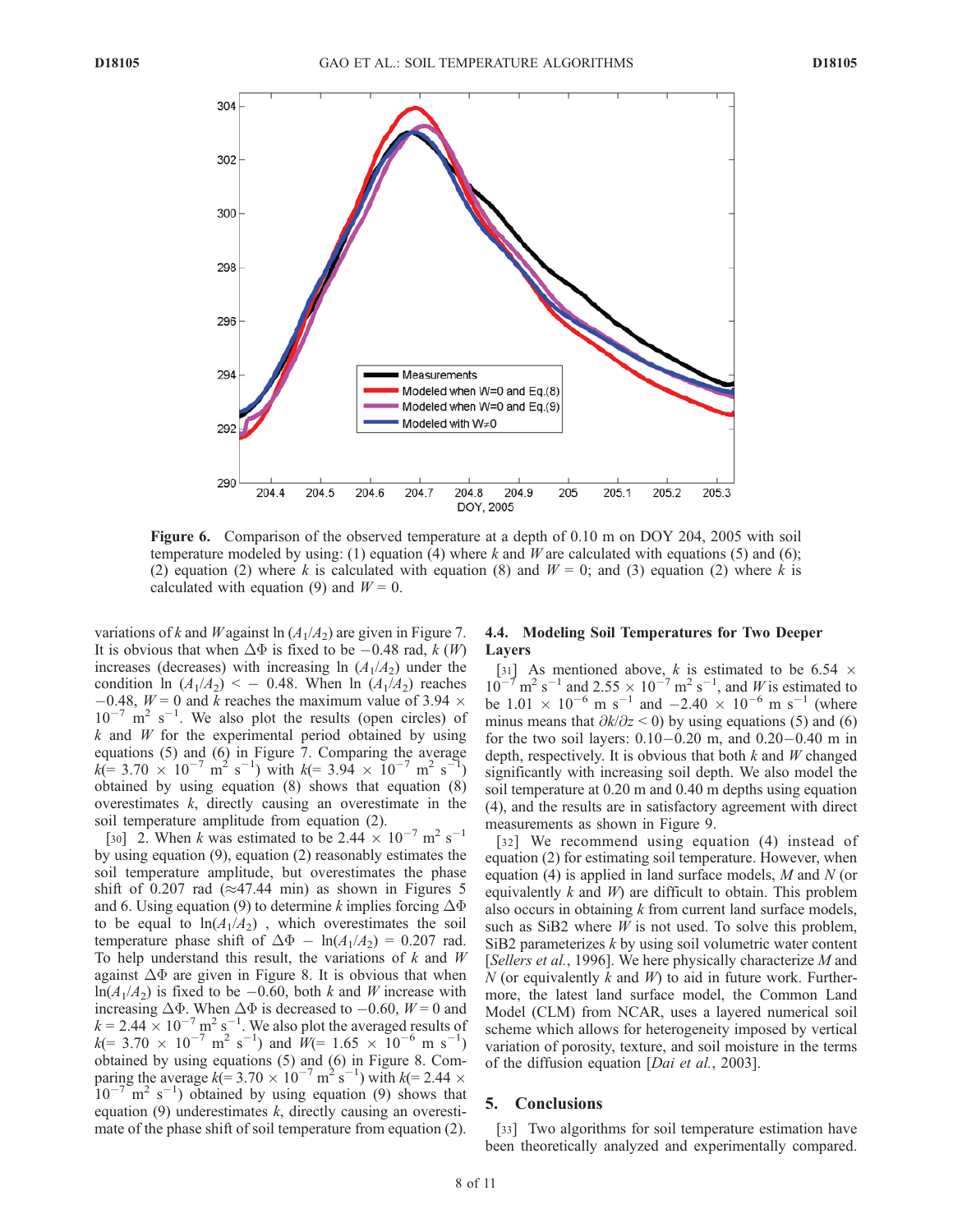

Figure 6. Comparison of the observed temperature at a depth of 0.10 m on DOY 204, 2005 with soil temperature modeled by using: (1) equation (4) where k and W are calculated with equations (5) and (6); (2) equation (2) where k is calculated with equation (8) and  $W = 0$ ; and (3) equation (2) where k is calculated with equation (9) and  $W = 0$ .

variations of k and W against ln  $(A_1/A_2)$  are given in Figure 7. It is obvious that when  $\Delta\Phi$  is fixed to be -0.48 rad, k (W) increases (decreases) with increasing ln  $(A_1/A_2)$  under the condition ln  $(A_1/A_2)$  < - 0.48. When ln  $(A_1/A_2)$  reaches  $-0.48$ ,  $W = 0$  and k reaches the maximum value of 3.94  $\times$  $10^{-7}$  m<sup>2</sup> s<sup>-1</sup>. We also plot the results (open circles) of  $k$  and  $W$  for the experimental period obtained by using equations (5) and (6) in Figure 7. Comparing the average  $k = 3.70 \times 10^{-7}$  m<sup>2</sup> s<sup>-1</sup>) with  $k = 3.94 \times 10^{-7}$  m<sup>2</sup> s<sup>-1</sup>) obtained by using equation (8) shows that equation (8) overestimates  $k$ , directly causing an overestimate in the soil temperature amplitude from equation (2).

[30] 2. When k was estimated to be 2.44  $\times$  10<sup>-7</sup> m<sup>2</sup> s<sup>-1</sup> by using equation (9), equation (2) reasonably estimates the soil temperature amplitude, but overestimates the phase shift of 0.207 rad ( $\approx$ 47.44 min) as shown in Figures 5 and 6. Using equation (9) to determine k implies forcing  $\Delta\Phi$ to be equal to  $ln(A_1/A_2)$ , which overestimates the soil temperature phase shift of  $\Delta \Phi$  -  $ln(A_1/A_2)$  = 0.207 rad. To help understand this result, the variations of  $k$  and  $W$ against  $\Delta\Phi$  are given in Figure 8. It is obvious that when  $ln(A_1/A_2)$  is fixed to be  $-0.60$ , both k and W increase with increasing  $\Delta\Phi$ . When  $\Delta\Phi$  is decreased to  $-0.60$ ,  $W = 0$  and  $k = 2.44 \times 10^{-7}$  m<sup>2</sup> s<sup>-1</sup>. We also plot the averaged results of  $k (= 3.70 \times 10^{-7} \text{ m}^2 \text{ s}^{-1})$  and  $W(= 1.65 \times 10^{-6} \text{ m s}^{-1})$ obtained by using equations (5) and (6) in Figure 8. Comparing the average  $k (= 3.70 \times 10^{-7} \text{ m}^2 \text{ s}^{-1})$  with  $k (= 2.44 \times 10^{-7} \text{ m}^2 \text{ s}^{-1})$  $10^{-7}$  m<sup>2</sup> s<sup>-1</sup>) obtained by using equation (9) shows that equation  $(9)$  underestimates k, directly causing an overestimate of the phase shift of soil temperature from equation (2).

# 4.4. Modeling Soil Temperatures for Two Deeper Layers

[31] As mentioned above, k is estimated to be 6.54  $\times$  $10^{-7}$  m<sup>2</sup> s<sup>-1</sup> and 2.55  $\times$  10<sup>-7</sup> m<sup>2</sup> s<sup>-1</sup>, and *W* is estimated to be 1.01  $\times$  10<sup>-6</sup> m s<sup>-1</sup> and -2.40  $\times$  10<sup>-6</sup> m s<sup>-1</sup> (where minus means that  $\partial k/\partial z < 0$ ) by using equations (5) and (6) for the two soil layers:  $0.10 - 0.20$  m, and  $0.20 - 0.40$  m in depth, respectively. It is obvious that both  $k$  and  $W$  changed significantly with increasing soil depth. We also model the soil temperature at 0.20 m and 0.40 m depths using equation (4), and the results are in satisfactory agreement with direct measurements as shown in Figure 9.

[32] We recommend using equation (4) instead of equation (2) for estimating soil temperature. However, when equation (4) is applied in land surface models,  $M$  and  $N$  (or equivalently  $k$  and  $W$ ) are difficult to obtain. This problem also occurs in obtaining k from current land surface models, such as SiB2 where  $W$  is not used. To solve this problem, SiB2 parameterizes k by using soil volumetric water content [Sellers et al., 1996]. We here physically characterize M and N (or equivalently k and  $W$ ) to aid in future work. Furthermore, the latest land surface model, the Common Land Model (CLM) from NCAR, uses a layered numerical soil scheme which allows for heterogeneity imposed by vertical variation of porosity, texture, and soil moisture in the terms of the diffusion equation [Dai et al., 2003].

# 5. Conclusions

[33] Two algorithms for soil temperature estimation have been theoretically analyzed and experimentally compared.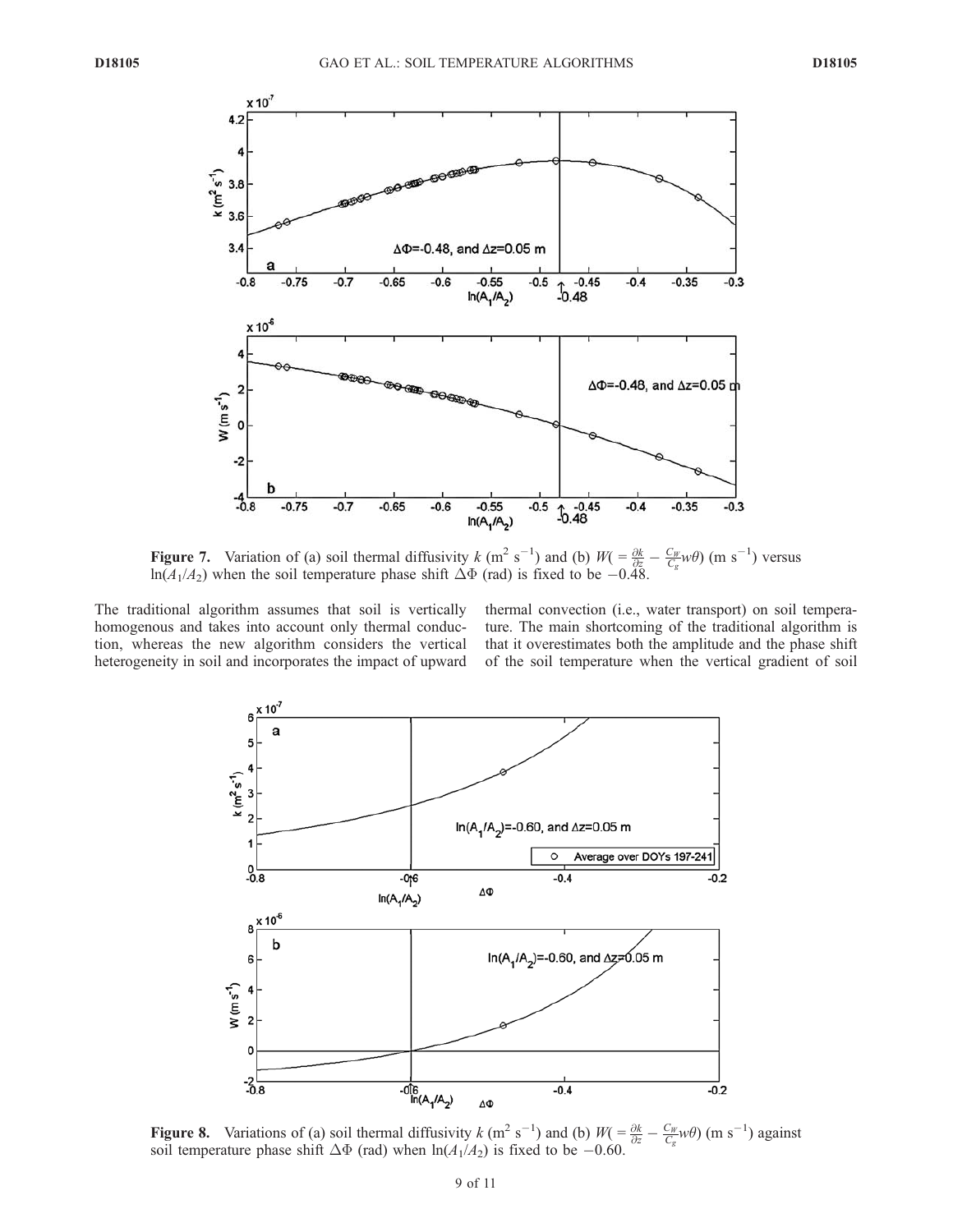

**Figure 7.** Variation of (a) soil thermal diffusivity k (m<sup>2</sup> s<sup>-1</sup>) and (b)  $W = \frac{\partial k}{\partial r}$  $\frac{\partial k}{\partial z} - \frac{C_W}{C_g} w \theta$  (m s<sup>-1</sup>  $\binom{1}{1}$  versus  $ln(A_1/A_2)$  when the soil temperature phase shift  $\Delta\Phi$  (rad) is fixed to be -0.48.

The traditional algorithm assumes that soil is vertically homogenous and takes into account only thermal conduction, whereas the new algorithm considers the vertical heterogeneity in soil and incorporates the impact of upward thermal convection (i.e., water transport) on soil temperature. The main shortcoming of the traditional algorithm is that it overestimates both the amplitude and the phase shift of the soil temperature when the vertical gradient of soil



**Figure 8.** Variations of (a) soil thermal diffusivity k (m<sup>2</sup> s<sup>-1</sup>) and (b)  $W = \frac{\partial k}{\partial z} - \frac{C_W}{C_g} w \theta$  (m s<sup>-1</sup>) against soil temperature phase shift  $\Delta\Phi$  (rad) when  $\ln(A_1/A_2)$  is fixed to be -0.60.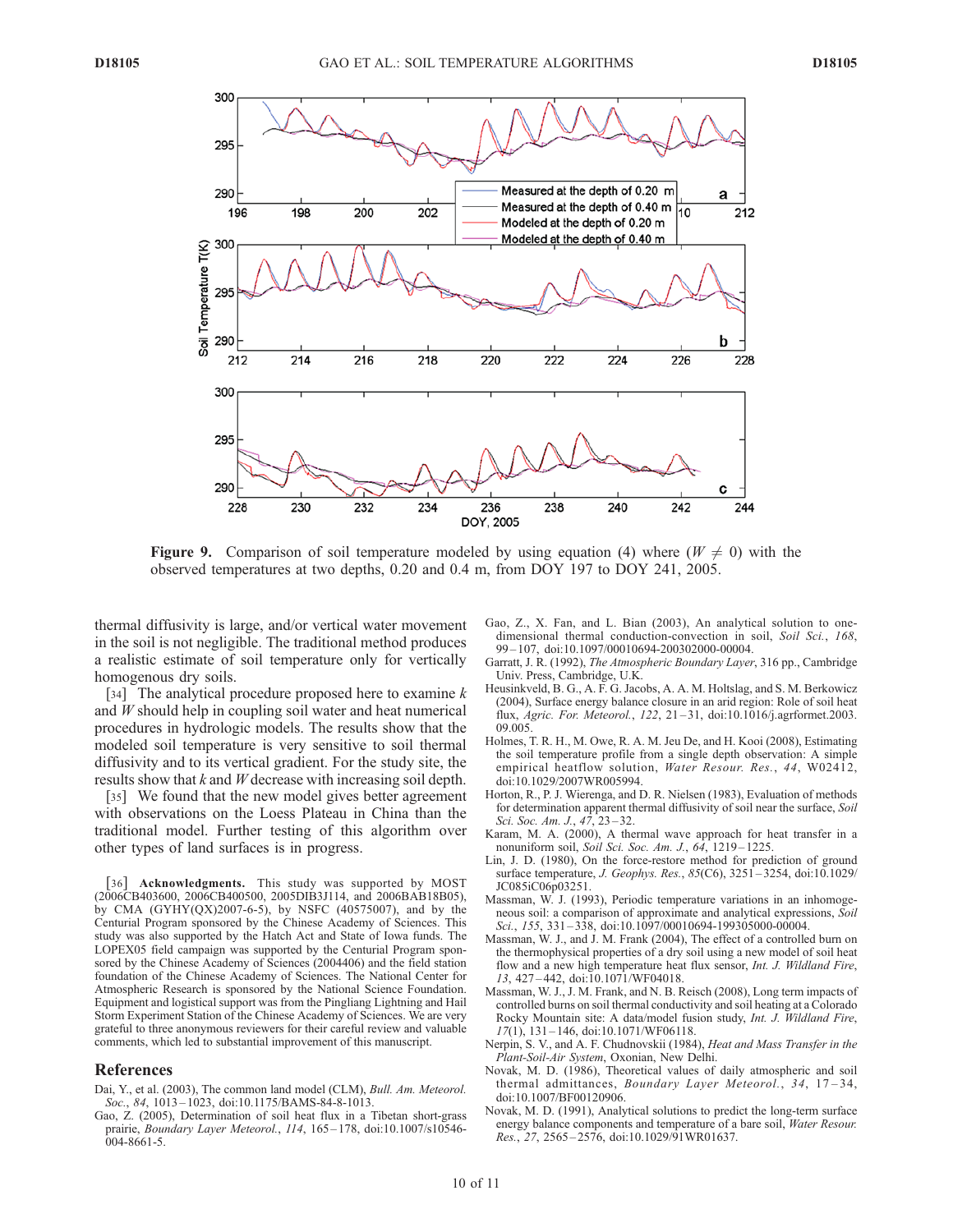

Figure 9. Comparison of soil temperature modeled by using equation (4) where  $(W \neq 0)$  with the observed temperatures at two depths, 0.20 and 0.4 m, from DOY 197 to DOY 241, 2005.

thermal diffusivity is large, and/or vertical water movement in the soil is not negligible. The traditional method produces a realistic estimate of soil temperature only for vertically homogenous dry soils.

[34] The analytical procedure proposed here to examine  $k$ and W should help in coupling soil water and heat numerical procedures in hydrologic models. The results show that the modeled soil temperature is very sensitive to soil thermal diffusivity and to its vertical gradient. For the study site, the results show that  $k$  and  $W$  decrease with increasing soil depth.

[35] We found that the new model gives better agreement with observations on the Loess Plateau in China than the traditional model. Further testing of this algorithm over other types of land surfaces is in progress.

[36] Acknowledgments. This study was supported by MOST (2006CB403600, 2006CB400500, 2005DIB3J114, and 2006BAB18B05), by CMA (GYHY(QX)2007-6-5), by NSFC (40575007), and by the Centurial Program sponsored by the Chinese Academy of Sciences. This study was also supported by the Hatch Act and State of Iowa funds. The LOPEX05 field campaign was supported by the Centurial Program sponsored by the Chinese Academy of Sciences (2004406) and the field station foundation of the Chinese Academy of Sciences. The National Center for Atmospheric Research is sponsored by the National Science Foundation. Equipment and logistical support was from the Pingliang Lightning and Hail Storm Experiment Station of the Chinese Academy of Sciences. We are very grateful to three anonymous reviewers for their careful review and valuable comments, which led to substantial improvement of this manuscript.

#### References

- Dai, Y., et al. (2003), The common land model (CLM), Bull. Am. Meteorol. Soc., 84, 1013 – 1023, doi:10.1175/BAMS-84-8-1013.
- Gao, Z. (2005), Determination of soil heat flux in a Tibetan short-grass prairie, Boundary Layer Meteorol., 114, 165-178, doi:10.1007/s10546-004-8661-5.
- Gao, Z., X. Fan, and L. Bian (2003), An analytical solution to onedimensional thermal conduction-convection in soil, Soil Sci., 168, 99 – 107, doi:10.1097/00010694-200302000-00004.
- Garratt, J. R. (1992), The Atmospheric Boundary Layer, 316 pp., Cambridge Univ. Press, Cambridge, U.K.
- Heusinkveld, B. G., A. F. G. Jacobs, A. A. M. Holtslag, and S. M. Berkowicz (2004), Surface energy balance closure in an arid region: Role of soil heat flux, Agric. For. Meteorol., 122, 21 – 31, doi:10.1016/j.agrformet.2003. 09.005.
- Holmes, T. R. H., M. Owe, R. A. M. Jeu De, and H. Kooi (2008), Estimating the soil temperature profile from a single depth observation: A simple empirical heatflow solution, Water Resour. Res., 44, W02412, doi:10.1029/2007WR005994.
- Horton, R., P. J. Wierenga, and D. R. Nielsen (1983), Evaluation of methods for determination apparent thermal diffusivity of soil near the surface, Soil Sci. Soc. Am. J., 47, 23-32.
- Karam, M. A. (2000), A thermal wave approach for heat transfer in a nonuniform soil, Soil Sci. Soc. Am. J., 64, 1219 – 1225.
- Lin, J. D. (1980), On the force-restore method for prediction of ground surface temperature, *J. Geophys. Res.*, 85(C6), 3251-3254, doi:10.1029/ JC085iC06p03251.
- Massman, W. J. (1993), Periodic temperature variations in an inhomogeneous soil: a comparison of approximate and analytical expressions, Soil Sci., 155, 331-338, doi:10.1097/00010694-199305000-00004.
- Massman, W. J., and J. M. Frank (2004), The effect of a controlled burn on the thermophysical properties of a dry soil using a new model of soil heat flow and a new high temperature heat flux sensor, Int. J. Wildland Fire, 13, 427 – 442, doi:10.1071/WF04018.
- Massman, W. J., J. M. Frank, and N. B. Reisch (2008), Long term impacts of controlled burns on soil thermal conductivity and soil heating at a Colorado Rocky Mountain site: A data/model fusion study, Int. J. Wildland Fire,  $17(1)$ ,  $131-146$ , doi:10.1071/WF06118.
- Nerpin, S. V., and A. F. Chudnovskii (1984), Heat and Mass Transfer in the Plant-Soil-Air System, Oxonian, New Delhi.
- Novak, M. D. (1986), Theoretical values of daily atmospheric and soil thermal admittances, Boundary Layer Meteorol., 34, 17-34, doi:10.1007/BF00120906.
- Novak, M. D. (1991), Analytical solutions to predict the long-term surface energy balance components and temperature of a bare soil, Water Resour. Res., 27, 2565 – 2576, doi:10.1029/91WR01637.